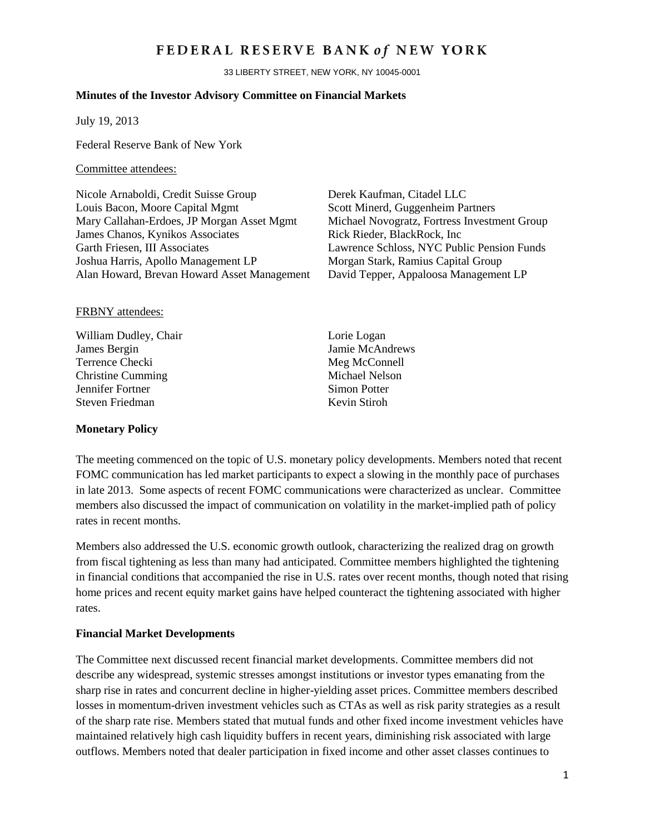## FEDERAL RESERVE BANK of NEW YORK

33 LIBERTY STREET, NEW YORK, NY 10045-0001

#### **Minutes of the Investor Advisory Committee on Financial Markets**

July 19, 2013

Federal Reserve Bank of New York

#### Committee attendees:

Nicole Arnaboldi, Credit Suisse Group Derek Kaufman, Citadel LLC Louis Bacon, Moore Capital Mgmt Scott Minerd, Guggenheim Partners Mary Callahan-Erdoes, JP Morgan Asset Mgmt Michael Novogratz, Fortress Investment Group James Chanos, Kynikos Associates Rick Rieder, BlackRock, Inc Garth Friesen, III Associates Lawrence Schloss, NYC Public Pension Funds Joshua Harris, Apollo Management LP<br>Alan Howard, Brevan Howard Asset Management David Tepper, Appaloosa Management LP Alan Howard, Brevan Howard Asset Management

#### FRBNY attendees:

William Dudley, Chair Lorie Logan James Bergin Jamie McAndrews Terrence Checki Meg McConnell Christine Cumming<br>
Jennifer Fortner<br>
Simon Potter<br>
Simon Potter Jennifer Fortner Steven Friedman Kevin Stiroh

#### **Monetary Policy**

The meeting commenced on the topic of U.S. monetary policy developments. Members noted that recent FOMC communication has led market participants to expect a slowing in the monthly pace of purchases in late 2013. Some aspects of recent FOMC communications were characterized as unclear. Committee members also discussed the impact of communication on volatility in the market-implied path of policy rates in recent months.

Members also addressed the U.S. economic growth outlook, characterizing the realized drag on growth from fiscal tightening as less than many had anticipated. Committee members highlighted the tightening in financial conditions that accompanied the rise in U.S. rates over recent months, though noted that rising home prices and recent equity market gains have helped counteract the tightening associated with higher rates.

#### **Financial Market Developments**

The Committee next discussed recent financial market developments. Committee members did not describe any widespread, systemic stresses amongst institutions or investor types emanating from the sharp rise in rates and concurrent decline in higher-yielding asset prices. Committee members described losses in momentum-driven investment vehicles such as CTAs as well as risk parity strategies as a result of the sharp rate rise. Members stated that mutual funds and other fixed income investment vehicles have maintained relatively high cash liquidity buffers in recent years, diminishing risk associated with large outflows. Members noted that dealer participation in fixed income and other asset classes continues to